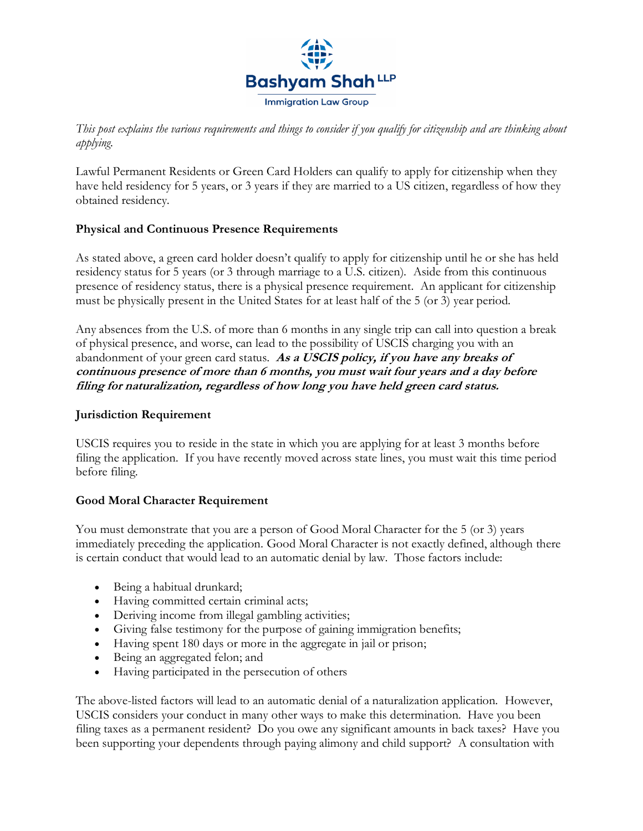

*This post explains the various requirements and things to consider if you qualify for citizenship and are thinking about applying.*

Lawful Permanent Residents or Green Card Holders can qualify to apply for citizenship when they have held residency for 5 years, or 3 years if they are married to a US citizen, regardless of how they obtained residency.

## **Physical and Continuous Presence Requirements**

As stated above, a green card holder doesn't qualify to apply for citizenship until he or she has held residency status for 5 years (or 3 through marriage to a U.S. citizen). Aside from this continuous presence of residency status, there is a physical presence requirement. An applicant for citizenship must be physically present in the United States for at least half of the 5 (or 3) year period.

Any absences from the U.S. of more than 6 months in any single trip can call into question a break of physical presence, and worse, can lead to the possibility of USCIS charging you with an abandonment of your green card status. **As a USCIS policy, if you have any breaks of continuous presence of more than 6 months, you must wait four years and a day before filing for naturalization, regardless of how long you have held green card status.**

## **Jurisdiction Requirement**

USCIS requires you to reside in the state in which you are applying for at least 3 months before filing the application. If you have recently moved across state lines, you must wait this time period before filing.

## **Good Moral Character Requirement**

You must demonstrate that you are a person of Good Moral Character for the 5 (or 3) years immediately preceding the application. Good Moral Character is not exactly defined, although there is certain conduct that would lead to an automatic denial by law. Those factors include:

- Being a habitual drunkard;
- Having committed certain criminal acts;
- Deriving income from illegal gambling activities;
- Giving false testimony for the purpose of gaining immigration benefits;
- Having spent 180 days or more in the aggregate in jail or prison;
- Being an aggregated felon; and
- Having participated in the persecution of others

The above-listed factors will lead to an automatic denial of a naturalization application. However, USCIS considers your conduct in many other ways to make this determination. Have you been filing taxes as a permanent resident? Do you owe any significant amounts in back taxes? Have you been supporting your dependents through paying alimony and child support? A consultation with